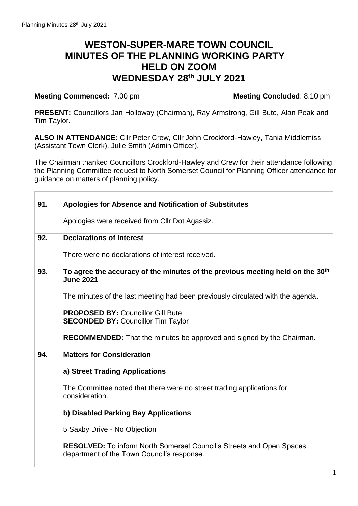## **WESTON-SUPER-MARE TOWN COUNCIL MINUTES OF THE PLANNING WORKING PARTY HELD ON ZOOM WEDNESDAY 28th JULY 2021**

## **Meeting Commenced:** 7.00 pm **Meeting Concluded**: 8.10 pm

**PRESENT:** Councillors Jan Holloway (Chairman), Ray Armstrong, Gill Bute, Alan Peak and Tim Taylor.

**ALSO IN ATTENDANCE:** Cllr Peter Crew, Cllr John Crockford-Hawley**,** Tania Middlemiss (Assistant Town Clerk), Julie Smith (Admin Officer).

The Chairman thanked Councillors Crockford-Hawley and Crew for their attendance following the Planning Committee request to North Somerset Council for Planning Officer attendance for guidance on matters of planning policy.

| 91. | Apologies for Absence and Notification of Substitutes                                                              |
|-----|--------------------------------------------------------------------------------------------------------------------|
|     | Apologies were received from Cllr Dot Agassiz.                                                                     |
| 92. | <b>Declarations of Interest</b>                                                                                    |
|     | There were no declarations of interest received.                                                                   |
| 93. | To agree the accuracy of the minutes of the previous meeting held on the 30 <sup>th</sup><br><b>June 2021</b>      |
|     | The minutes of the last meeting had been previously circulated with the agenda.                                    |
|     | <b>PROPOSED BY: Councillor Gill Bute</b><br><b>SECONDED BY: Councillor Tim Taylor</b>                              |
|     | <b>RECOMMENDED:</b> That the minutes be approved and signed by the Chairman.                                       |
| 94. | <b>Matters for Consideration</b>                                                                                   |
|     | a) Street Trading Applications                                                                                     |
|     | The Committee noted that there were no street trading applications for<br>consideration.                           |
|     | b) Disabled Parking Bay Applications                                                                               |
|     | 5 Saxby Drive - No Objection                                                                                       |
|     | RESOLVED: To inform North Somerset Council's Streets and Open Spaces<br>department of the Town Council's response. |